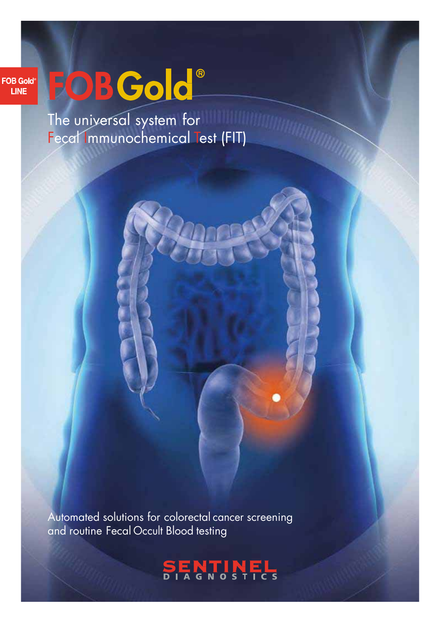#### **FOB Gold**<sup>®</sup> **LINE**

# FOBGold®

The universal system for Fecal Immunochemical Test (FIT)

Automated solutions for colorectal cancer screening and routine Fecal Occult Blood testing

## **SENTINEL**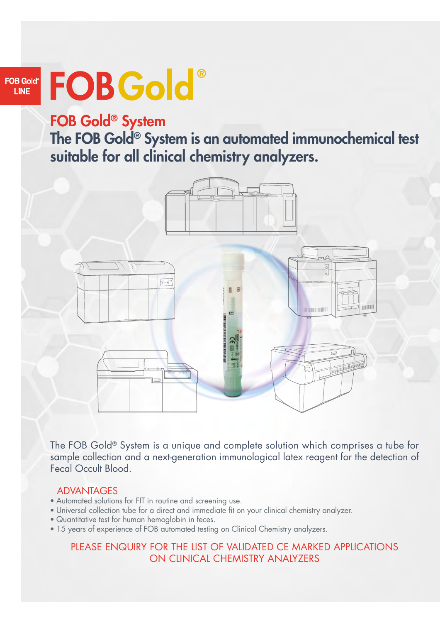#### **FOB Gold**<sup>®</sup> **LINE**

## FOBGold®

FOB Gold® System The FOB Gold® System is an automated immunochemical test suitable for all clinical chemistry analyzers.



The FOB Gold® System is a unique and complete solution which comprises a tube for sample collection and a next-generation immunological latex reagent for the detection of Fecal Occult Blood.

#### ADVANTAGES

- Automated solutions for FIT in routine and screening use.
- Universal collection tube for a direct and immediate fit on your clinical chemistry analyzer.
- Quantitative test for human hemoglobin in feces.
- 15 years of experience of FOB automated testing on Clinical Chemistry analyzers.

#### PLEASE ENQUIRY FOR THE LIST OF VALIDATED CE MARKED APPLICATIONS ON CLINICAL CHEMISTRY ANALYZERS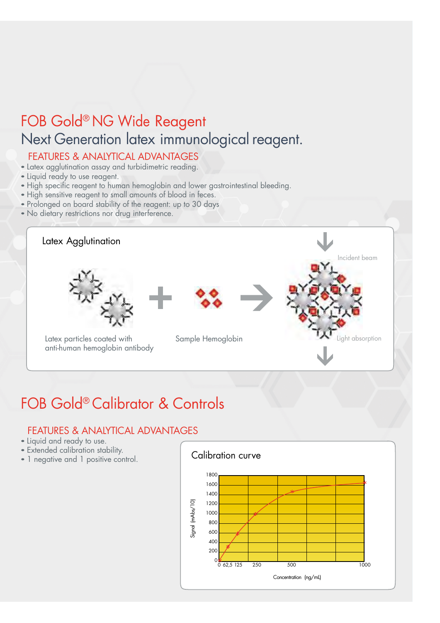## FOB Gold® NG Wide Reagent Next Generation latex immunological reagent.

#### FEATURES & ANALYTICAL ADVANTAGES

- Latex agglutination assay and turbidimetric reading.
- Liquid ready to use reagent.
- High specific reagent to human hemoglobin and lower gastrointestinal bleeding.
- High sensitive reagent to small amounts of blood in feces.
- Prolonged on board stability of the reagent: up to 30 days
- No dietary restrictions nor drug interference.



### FOB Gold® Calibrator & Controls

#### FEATURES & ANALYTICAL ADVANTAGES

- Liquid and ready to use.
- Extended calibration stability.
- 

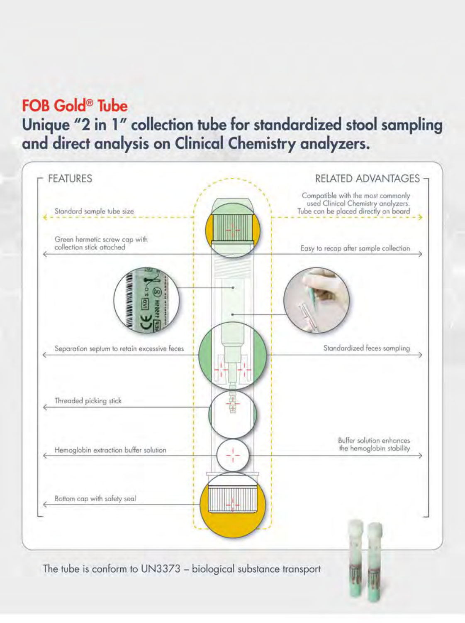## **FOB Gold<sup>®</sup>** Tube

Unique "2 in 1" collection tube for standardized stool sampling and direct analysis on Clinical Chemistry analyzers.

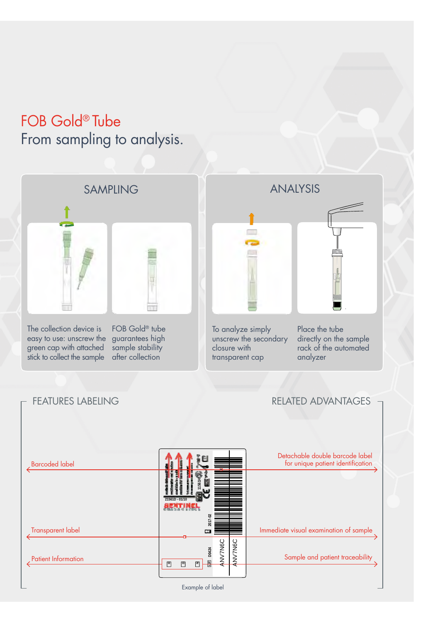### FOB Gold® Tube From sampling to analysis.